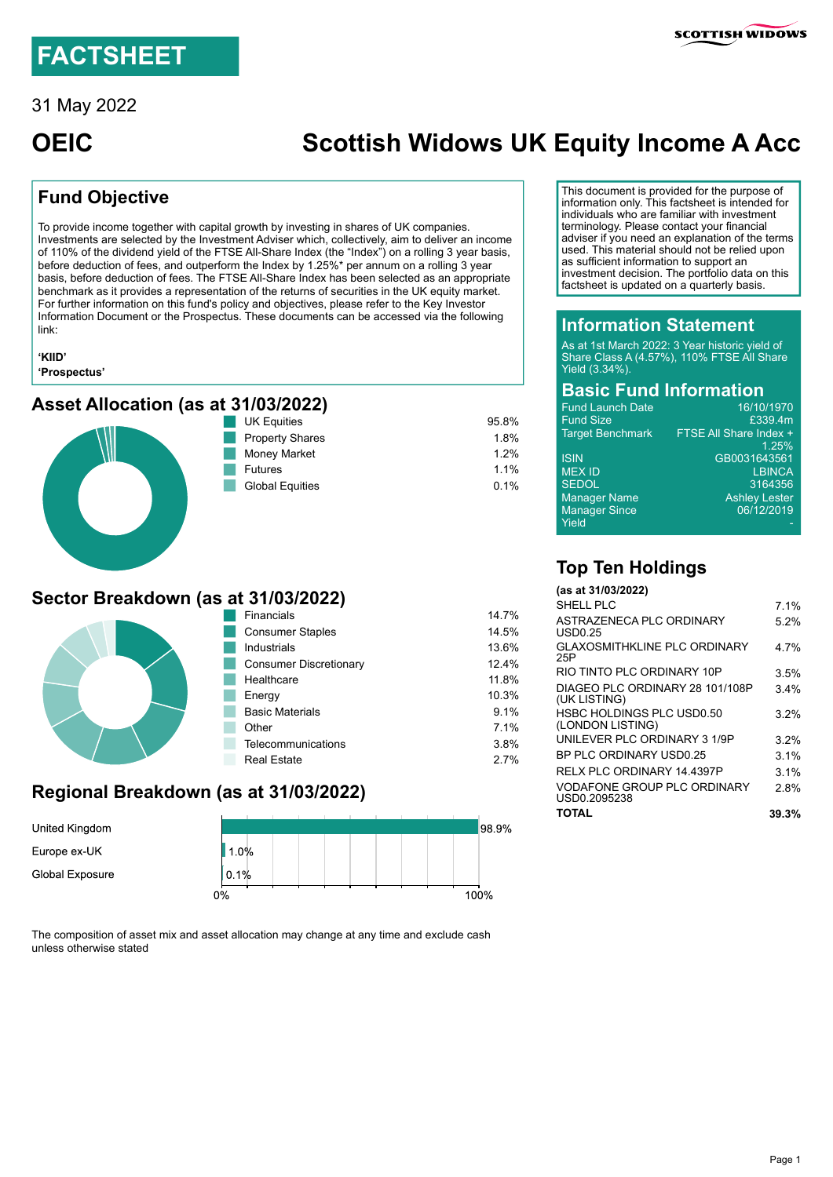31 May 2022

# **OEIC Scottish Widows UK Equity Income A Acc**

# **Fund Objective**

To provide income together with capital growth by investing in shares of UK companies. Investments are selected by the Investment Adviser which, collectively, aim to deliver an income of 110% of the dividend yield of the FTSE All-Share Index (the "Index") on a rolling 3 year basis, before deduction of fees, and outperform the Index by 1.25%\* per annum on a rolling 3 year basis, before deduction of fees. The FTSE All-Share Index has been selected as an appropriate benchmark as it provides a representation of the returns of securities in the UK equity market. For further information on this fund's policy and objectives, please refer to the Key Investor Information Document or the Prospectus. These documents can be accessed via the following link:

#### **['KIID'](https://system.kiihub.com/Documents/scottishwidows/LB08_UnitedKingdom_EN-GB.pdf) ['Prospectus'](https://adviser.scottishwidows.co.uk/assets/literature/docs/oeic-uk-pr.pdf)**

#### **Asset Allocation (as at 31/03/2022)**





| 95.8%   |
|---------|
| 1.8%    |
| 1.2%    |
| 1.1%    |
| $0.1\%$ |
|         |

## **Sector Breakdown (as at 31/03/2022)**



| Financials              | 14.7% |
|-------------------------|-------|
| <b>Consumer Staples</b> | 14.5% |
| Industrials             | 13.6% |
| Consumer Discretionary  | 12.4% |
| Healthcare              | 11.8% |
| Energy                  | 10.3% |
| <b>Basic Materials</b>  | 9.1%  |
| Other                   | 7.1%  |
| Telecommunications      | 3.8%  |
| <b>Real Estate</b>      | 27%   |

# **Regional Breakdown (as at 31/03/2022)**



The composition of asset mix and asset allocation may change at any time and exclude cash unless otherwise stated

This document is provided for the purpose of information only. This factsheet is intended for individuals who are familiar with investment terminology. Please contact your financial adviser if you need an explanation of the terms used. This material should not be relied upon as sufficient information to support an investment decision. The portfolio data on this factsheet is updated on a quarterly basis.

#### **Information Statement**

As at 1st March 2022: 3 Year historic yield of Share Class A (4.57%), 110% FTSE All Share Yield (3.34%)

#### **Basic Fund Information**

| <b>Fund Launch Date</b> | 16/10/1970             |
|-------------------------|------------------------|
| <b>Fund Size</b>        | £339.4m                |
| <b>Target Benchmark</b> | FTSE All Share Index + |
|                         | 1.25%                  |
| <b>ISIN</b>             | GB0031643561           |
| <b>MEX ID</b>           | <b>LBINCA</b>          |
| <b>SEDOL</b>            | 3164356                |
| <b>Manager Name</b>     | <b>Ashley Lester</b>   |
| <b>Manager Since</b>    | 06/12/2019             |
| Yield                   |                        |
|                         |                        |

# **Top Ten Holdings**

| (as at 31/03/2022)                                 |         |
|----------------------------------------------------|---------|
| SHELL PLC                                          | 7 1%    |
| ASTRAZENECA PLC ORDINARY<br>USD0.25                | 52%     |
| GI AXOSMITHKI INF PI C ORDINARY<br>25P             | 4 7%    |
| RIO TINTO PI C ORDINARY 10P                        | 3.5%    |
| DIAGEO PLC ORDINARY 28 101/108P<br>(UK LISTING)    | $3.4\%$ |
| HSBC HOLDINGS PLC USD0.50<br>(LONDON LISTING)      | 32%     |
| UNILEVER PLC ORDINARY 3 1/9P                       | 32%     |
| BP PLC ORDINARY USD0 25                            | $3.1\%$ |
| RFI X PI C ORDINARY 14 4397P                       | $3.1\%$ |
| <b>VODAFONE GROUP PLC ORDINARY</b><br>USD0.2095238 | 2.8%    |
| TOTAL                                              | 39.3%   |